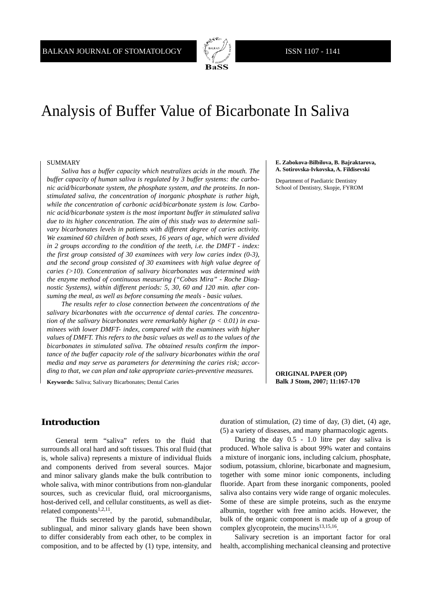

# Analysis of Buffer Value of Bicarbonate In Saliva

### SUMMARY

*Saliva has a buffer capacity which neutralizes acids in the mouth. The buffer capacity of human saliva is regulated by 3 buffer systems: the carbonic acid/bicarbonate system, the phosphate system, and the proteins. In nonstimulated saliva, the concentration of inorganic phosphate is rather high, while the concentration of carbonic acid/bicarbonate system is low. Carbonic acid/bicarbonate system is the most important buffer in stimulated saliva due to its higher concentration. The aim of this study was to determine salivary bicarbonates levels in patients with different degree of caries activity. We examined 60 children of both sexes, 16 years of age, which were divided in 2 groups according to the condition of the teeth, i.e. the DMFT - index: the first group consisted of 30 examinees with very low caries index (0-3), and the second group consisted of 30 examinees with high value degree of caries (>10). Concentration of salivary bicarbonates was determined with the enzyme method of continuous measuring ("Cobas Mira" - Roche Diagnostic Systems), within different periods: 5, 30, 60 and 120 min. after consuming the meal, as well as before consuming the meals - basic values.* 

*The results refer to close connection between the concentrations of the salivary bicarbonates with the occurrence of dental caries. The concentration of the salivary bicarbonates were remarkably higher (p < 0.01) in examinees with lower DMFT- index, compared with the examinees with higher values of DMFT. This refers to the basic values as well as to the values of the bicarbonates in stimulated saliva. The obtained results confirm the importance of the buffer capacity role of the salivary bicarbonates within the oral media and may serve as parameters for determining the caries risk; according to that, we can plan and take appropriate caries-preventive measures.*

**Keywords:** Saliva; Salivary Bicarbonates; Dental Caries

**E. Zabokova-Bilbilova, B. Bajraktarova, A. Sotirovska-Ivkovska, A. Fildisevski** 

Department of Paediatric Dentistry School of Dentistry, Skopje, FYROM

#### **ORIGINAL PAPER (OP) Balk J Stom, 2007; 11:167-170**

## **Introduction**

General term "saliva" refers to the fluid that surrounds all oral hard and soft tissues. This oral fluid (that is, whole saliva) represents a mixture of individual fluids and components derived from several sources. Major and minor salivary glands make the bulk contribution to whole saliva, with minor contributions from non-glandular sources, such as crevicular fluid, oral microorganisms, host-derived cell, and cellular constituents, as well as dietrelated components<sup>1,2,11</sup>.

The fluids secreted by the parotid, submandibular, sublingual, and minor salivary glands have been shown to differ considerably from each other, to be complex in composition, and to be affected by (1) type, intensity, and duration of stimulation, (2) time of day, (3) diet, (4) age, (5) a variety of diseases, and many pharmacologic agents.

During the day 0.5 - 1.0 litre per day saliva is produced. Whole saliva is about 99% water and contains a mixture of inorganic ions, including calcium, phosphate, sodium, potassium, chlorine, bicarbonate and magnesium, together with some minor ionic components, including fluoride. Apart from these inorganic components, pooled saliva also contains very wide range of organic molecules. Some of these are simple proteins, such as the enzyme albumin, together with free amino acids. However, the bulk of the organic component is made up of a group of complex glycoprotein, the mucins<sup>13,15,16</sup>.

Salivary secretion is an important factor for oral health, accomplishing mechanical cleansing and protective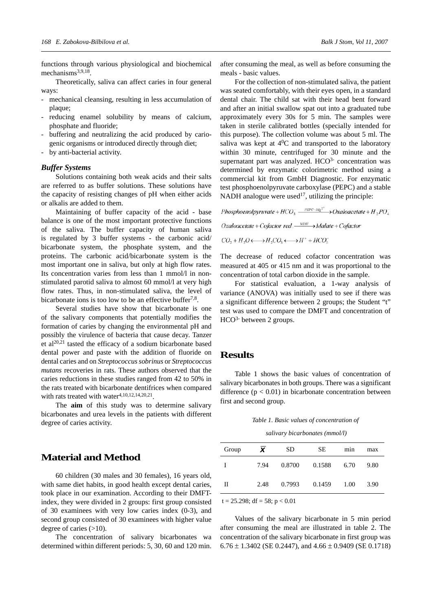functions through various physiological and biochemical mechanisms<sup>3,9,18</sup>.

Theoretically, saliva can affect caries in four general ways:

- mechanical cleansing, resulting in less accumulation of plaque;
- reducing enamel solubility by means of calcium, phosphate and fluoride;
- buffering and neutralizing the acid produced by cariogenic organisms or introduced directly through diet;
- by anti-bacterial activity.

## *Buffer Systems*

Solutions containing both weak acids and their salts are referred to as buffer solutions. These solutions have the capacity of resisting changes of pH when either acids or alkalis are added to them.

Maintaining of buffer capacity of the acid - base balance is one of the most important protective functions of the saliva. The buffer capacity of human saliva is regulated by 3 buffer systems - the carbonic acid/ bicarbonate system, the phosphate system, and the proteins. The carbonic acid/bicarbonate system is the most important one in saliva, but only at high flow rates. Its concentration varies from less than 1 mmol/l in nonstimulated parotid saliva to almost 60 mmol/l at very high flow rates. Thus, in non-stimulated saliva, the level of bicarbonate ions is too low to be an effective buffer<sup>7,8</sup>.

Several studies have show that bicarbonate is one of the salivary components that potentially modifies the formation of caries by changing the environmental pH and possibly the virulence of bacteria that cause decay. Tanzer et al<sup>20,21</sup> tasted the efficacy of a sodium bicarbonate based dental power and paste with the addition of fluoride on dental caries and on *Streptococcus sobrinus* or *Streptococcus mutans* recoveries in rats. These authors observed that the caries reductions in these studies ranged from 42 to 50% in the rats treated with bicarbonate dentifrices when compared with rats treated with water $4,10,12,14,20,21$ .

The **aim** of this study was to determine salivary bicarbonates and urea levels in the patients with different degree of caries activity.

## **Material and Method**

60 children (30 males and 30 females), 16 years old, with same diet habits, in good health except dental caries, took place in our examination. According to their DMFTindex, they were divided in 2 groups: first group consisted of 30 examinees with very low caries index (0-3), and second group consisted of 30 examinees with higher value degree of caries  $(>10)$ .

The concentration of salivary bicarbonates wa determined within different periods: 5, 30, 60 and 120 min.

after consuming the meal, as well as before consuming the meals - basic values.

For the collection of non-stimulated saliva, the patient was seated comfortably, with their eyes open, in a standard dental chair. The child sat with their head bent forward and after an initial swallow spat out into a graduated tube approximately every 30s for 5 min. The samples were taken in sterile calibrated bottles (specially intended for this purpose). The collection volume was about 5 ml. The saliva was kept at  $4^{0}C$  and transported to the laboratory within 30 minute, centrifuged for 30 minute and the supernatant part was analyzed. HCO<sup>3-</sup> concentration was determined by enzymatic colorimetric method using a commercial kit from GmbH Diagnostic. For enzymatic test phosphoenolpyruvate carboxylase (PEPC) and a stable NADH analogue were used<sup>17</sup>, utilizing the principle:

Phosphoenolpyruvate +  $HCO_3^ \longrightarrow$   $P E P C + M g^2$ <sup>+</sup>  $\longrightarrow$  Oxaloacetate +  $H$ <sub>2</sub> $P O_4^-$ 

 $Oxaloacetate + Cofactor red.$   $\longrightarrow$  Malate + Cofactor

$$
CO_2 + H_2O \longleftrightarrow H_2CO_3 \longleftrightarrow H^+ + HCO_3^-
$$

The decrease of reduced cofactor concentration was measured at 405 or 415 nm and it was proportional to the concentration of total carbon dioxide in the sample.

For statistical evaluation, a 1-way analysis of variance (ANOVA) was initially used to see if there was a significant difference between 2 groups; the Student "t" test was used to compare the DMFT and concentration of HCO<sup>3-</sup> between 2 groups.

## **Results**

Table 1 shows the basic values of concentration of salivary bicarbonates in both groups. There was a significant difference  $(p < 0.01)$  in bicarbonate concentration between first and second group.

*Table 1. Basic values of concentration of*

 *salivary bicarbonates (mmol/l)*

| Group | X    | <b>SD</b> | <b>SE</b> | mnn  | max  |
|-------|------|-----------|-----------|------|------|
| I     | 7.94 | 0.8700    | 0.1588    | 6.70 | 9.80 |
| П     | 2.48 | 0.7993    | 0.1459    | 1.00 | 3.90 |

 $t = 25.298$ ; df = 58; p < 0.01

Values of the salivary bicarbonate in 5 min period after consuming the meal are illustrated in table 2. The concentration of the salivary bicarbonate in first group was  $6.76 \pm 1.3402$  (SE 0.2447), and  $4.66 \pm 0.9409$  (SE 0.1718)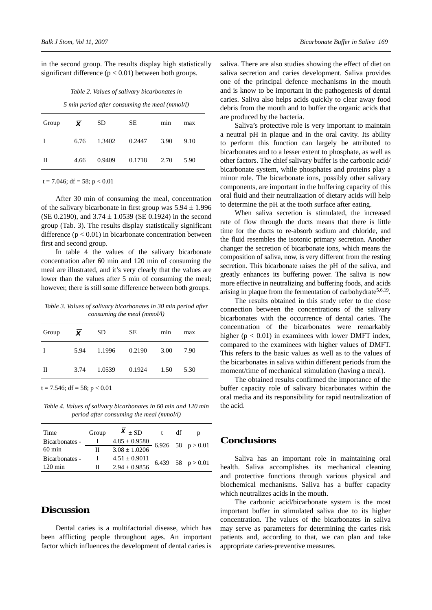in the second group. The results display high statistically significant difference  $(p < 0.01)$  between both groups.

|  |  |  |  | Table 2. Values of salivary bicarbonates in |  |
|--|--|--|--|---------------------------------------------|--|
|--|--|--|--|---------------------------------------------|--|

*5 min period after consuming the meal (mmol/l)*

| Group       | $\boldsymbol{X}$ | <b>SD</b> | SE.    | min  | max  |
|-------------|------------------|-----------|--------|------|------|
| $\mathbf I$ | 6.76             | 1.3402    | 0.2447 | 3.90 | 9.10 |
| П           | 4.66             | 0.9409    | 0.1718 | 2.70 | 5.90 |

 $t = 7.046$ ; df = 58; p < 0.01

After 30 min of consuming the meal, concentration of the salivary bicarbonate in first group was  $5.94 \pm 1.996$ (SE 0.2190), and  $3.74 \pm 1.0539$  (SE 0.1924) in the second group (Tab. 3). The results display statistically significant difference  $(p < 0.01)$  in bicarbonate concentration between first and second group.

In table 4 the values of the salivary bicarbonate concentration after 60 min and 120 min of consuming the meal are illustrated, and it's very clearly that the values are lower than the values after 5 min of consuming the meal; however, there is still some difference between both groups.

*Table 3. Values of salivary bicarbonates in 30 min period after consuming the meal (mmol/l)*

| Group | $\boldsymbol{X}$ | SD.    | SE.           | min  | max  |
|-------|------------------|--------|---------------|------|------|
| T     | 5.94             | 1.1996 | 0.2190        | 3.00 | 7.90 |
| П     | 3.74             |        | 1.0539 0.1924 | 1.50 | 5.30 |

 $t = 7.546$ ; df = 58; p < 0.01

*Table 4. Values of salivary bicarbonates in 60 min and 120 min period after consuming the meal (mmol/l)*

| Time              | Group | $X \pm SD$        |  |                        |
|-------------------|-------|-------------------|--|------------------------|
| Bicarbonates -    |       | $4.85 \pm 0.9580$ |  | $-6.926$ 58 $p > 0.01$ |
| $60 \text{ min}$  | Н     | $3.08 \pm 1.0206$ |  |                        |
| Bicarbonates -    |       | $4.51 \pm 0.9011$ |  |                        |
| $120 \text{ min}$ |       | $2.94 \pm 0.9856$ |  | $-6.439$ 58 $p > 0.01$ |

# **Discussion**

Dental caries is a multifactorial disease, which has been afflicting people throughout ages. An important factor which influences the development of dental caries is

saliva. There are also studies showing the effect of diet on saliva secretion and caries development. Saliva provides one of the principal defence mechanisms in the mouth and is know to be important in the pathogenesis of dental caries. Saliva also helps acids quickly to clear away food debris from the mouth and to buffer the organic acids that are produced by the bacteria.

Saliva's protective role is very important to maintain a neutral pH in plaque and in the oral cavity. Its ability to perform this function can largely be attributed to bicarbonates and to a lesser extent to phosphate, as well as other factors. The chief salivary buffer is the carbonic acid/ bicarbonate system, while phosphates and proteins play a minor role. The bicarbonate ions, possibly other salivary components, are important in the buffering capacity of this oral fluid and their neutralization of dietary acids will help to determine the pH at the tooth surface after eating.

When saliva secretion is stimulated, the increased rate of flow through the ducts means that there is little time for the ducts to re-absorb sodium and chloride, and the fluid resembles the isotonic primary secretion. Another changer the secretion of bicarbonate ions, which means the composition of saliva, now, is very different from the resting secretion. This bicarbonate raises the pH of the saliva, and greatly enhances its buffering power. The saliva is now more effective in neutralizing and buffering foods, and acids arising in plaque from the fermentation of carbohydrate<sup>5,6,19</sup>.

The results obtained in this study refer to the close connection between the concentrations of the salivary bicarbonates with the occurrence of dental caries. The concentration of the bicarbonates were remarkably higher ( $p < 0.01$ ) in examinees with lower DMFT index, compared to the examinees with higher values of DMFT. This refers to the basic values as well as to the values of the bicarbonates in saliva within different periods from the moment/time of mechanical stimulation (having a meal).

The obtained results confirmed the importance of the buffer capacity role of salivary bicarbonates within the oral media and its responsibility for rapid neutralization of the acid.

## **Conclusions**

Saliva has an important role in maintaining oral health. Saliva accomplishes its mechanical cleaning and protective functions through various physical and biochemical mechanisms. Saliva has a buffer capacity which neutralizes acids in the mouth.

The carbonic acid/bicarbonate system is the most important buffer in stimulated saliva due to its higher concentration. The values of the bicarbonates in saliva may serve as parameters for determining the caries risk patients and, according to that, we can plan and take appropriate caries-preventive measures.